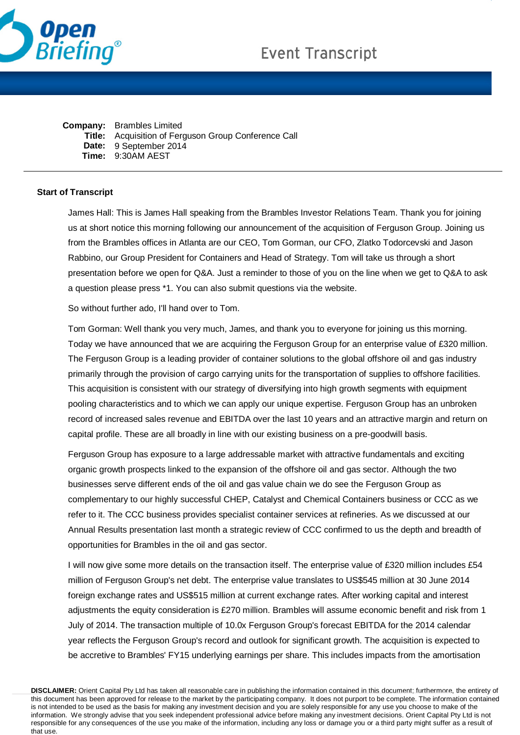

| <b>Company:</b> Brambles Limited                     |
|------------------------------------------------------|
| Title: Acquisition of Ferguson Group Conference Call |
| Date: 9 September 2014                               |
| Time: 9:30AM AEST                                    |

## **Start of Transcript**

James Hall: This is James Hall speaking from the Brambles Investor Relations Team. Thank you for joining us at short notice this morning following our announcement of the acquisition of Ferguson Group. Joining us from the Brambles offices in Atlanta are our CEO, Tom Gorman, our CFO, Zlatko Todorcevski and Jason Rabbino, our Group President for Containers and Head of Strategy. Tom will take us through a short presentation before we open for Q&A. Just a reminder to those of you on the line when we get to Q&A to ask a question please press \*1. You can also submit questions via the website.

So without further ado, I'll hand over to Tom.

Tom Gorman: Well thank you very much, James, and thank you to everyone for joining us this morning. Today we have announced that we are acquiring the Ferguson Group for an enterprise value of £320 million. The Ferguson Group is a leading provider of container solutions to the global offshore oil and gas industry primarily through the provision of cargo carrying units for the transportation of supplies to offshore facilities. This acquisition is consistent with our strategy of diversifying into high growth segments with equipment pooling characteristics and to which we can apply our unique expertise. Ferguson Group has an unbroken record of increased sales revenue and EBITDA over the last 10 years and an attractive margin and return on capital profile. These are all broadly in line with our existing business on a pre-goodwill basis.

Ferguson Group has exposure to a large addressable market with attractive fundamentals and exciting organic growth prospects linked to the expansion of the offshore oil and gas sector. Although the two businesses serve different ends of the oil and gas value chain we do see the Ferguson Group as complementary to our highly successful CHEP, Catalyst and Chemical Containers business or CCC as we refer to it. The CCC business provides specialist container services at refineries. As we discussed at our Annual Results presentation last month a strategic review of CCC confirmed to us the depth and breadth of opportunities for Brambles in the oil and gas sector.

I will now give some more details on the transaction itself. The enterprise value of £320 million includes £54 million of Ferguson Group's net debt. The enterprise value translates to US\$545 million at 30 June 2014 foreign exchange rates and US\$515 million at current exchange rates. After working capital and interest adjustments the equity consideration is £270 million. Brambles will assume economic benefit and risk from 1 July of 2014. The transaction multiple of 10.0x Ferguson Group's forecast EBITDA for the 2014 calendar year reflects the Ferguson Group's record and outlook for significant growth. The acquisition is expected to be accretive to Brambles' FY15 underlying earnings per share. This includes impacts from the amortisation

**DISCLAIMER:** Orient Capital Pty Ltd has taken all reasonable care in publishing the information contained in this document; furthermore, the entirety of this document has been approved for release to the market by the participating company. It does not purport to be complete. The information contained is not intended to be used as the basis for making any investment decision and you are solely responsible for any use you choose to make of the information. We strongly advise that you seek independent professional advice before making any investment decisions. Orient Capital Pty Ltd is not responsible for any consequences of the use you make of the information, including any loss or damage you or a third party might suffer as a result of that use.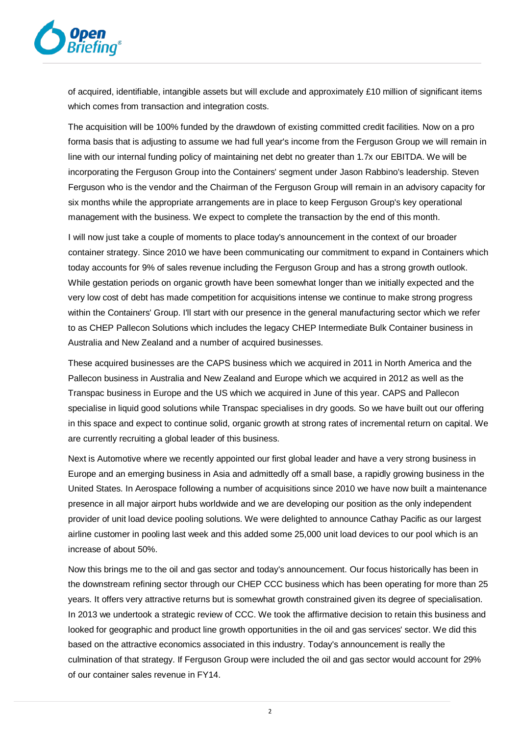

of acquired, identifiable, intangible assets but will exclude and approximately £10 million of significant items which comes from transaction and integration costs.

The acquisition will be 100% funded by the drawdown of existing committed credit facilities. Now on a pro forma basis that is adjusting to assume we had full year's income from the Ferguson Group we will remain in line with our internal funding policy of maintaining net debt no greater than 1.7x our EBITDA. We will be incorporating the Ferguson Group into the Containers' segment under Jason Rabbino's leadership. Steven Ferguson who is the vendor and the Chairman of the Ferguson Group will remain in an advisory capacity for six months while the appropriate arrangements are in place to keep Ferguson Group's key operational management with the business. We expect to complete the transaction by the end of this month.

I will now just take a couple of moments to place today's announcement in the context of our broader container strategy. Since 2010 we have been communicating our commitment to expand in Containers which today accounts for 9% of sales revenue including the Ferguson Group and has a strong growth outlook. While gestation periods on organic growth have been somewhat longer than we initially expected and the very low cost of debt has made competition for acquisitions intense we continue to make strong progress within the Containers' Group. I'll start with our presence in the general manufacturing sector which we refer to as CHEP Pallecon Solutions which includes the legacy CHEP Intermediate Bulk Container business in Australia and New Zealand and a number of acquired businesses.

These acquired businesses are the CAPS business which we acquired in 2011 in North America and the Pallecon business in Australia and New Zealand and Europe which we acquired in 2012 as well as the Transpac business in Europe and the US which we acquired in June of this year. CAPS and Pallecon specialise in liquid good solutions while Transpac specialises in dry goods. So we have built out our offering in this space and expect to continue solid, organic growth at strong rates of incremental return on capital. We are currently recruiting a global leader of this business.

Next is Automotive where we recently appointed our first global leader and have a very strong business in Europe and an emerging business in Asia and admittedly off a small base, a rapidly growing business in the United States. In Aerospace following a number of acquisitions since 2010 we have now built a maintenance presence in all major airport hubs worldwide and we are developing our position as the only independent provider of unit load device pooling solutions. We were delighted to announce Cathay Pacific as our largest airline customer in pooling last week and this added some 25,000 unit load devices to our pool which is an increase of about 50%.

Now this brings me to the oil and gas sector and today's announcement. Our focus historically has been in the downstream refining sector through our CHEP CCC business which has been operating for more than 25 years. It offers very attractive returns but is somewhat growth constrained given its degree of specialisation. In 2013 we undertook a strategic review of CCC. We took the affirmative decision to retain this business and looked for geographic and product line growth opportunities in the oil and gas services' sector. We did this based on the attractive economics associated in this industry. Today's announcement is really the culmination of that strategy. If Ferguson Group were included the oil and gas sector would account for 29% of our container sales revenue in FY14.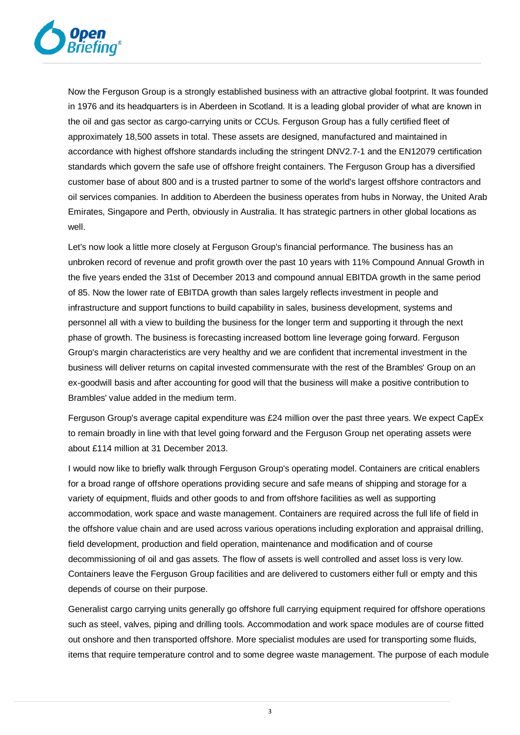

Now the Ferguson Group is a strongly established business with an attractive global footprint. It was founded in 1976 and its headquarters is in Aberdeen in Scotland. It is a leading global provider of what are known in the oil and gas sector as cargo-carrying units or CCUs. Ferguson Group has a fully certified fleet of approximately 18,500 assets in total. These assets are designed, manufactured and maintained in accordance with highest offshore standards including the stringent DNV2.7-1 and the EN12079 certification standards which govern the safe use of offshore freight containers. The Ferguson Group has a diversified customer base of about 800 and is a trusted partner to some of the world's largest offshore contractors and oil services companies. In addition to Aberdeen the business operates from hubs in Norway, the United Arab Emirates, Singapore and Perth, obviously in Australia. It has strategic partners in other global locations as well.

Let's now look a little more closely at Ferguson Group's financial performance. The business has an unbroken record of revenue and profit growth over the past 10 years with 11% Compound Annual Growth in the five years ended the 31st of December 2013 and compound annual EBITDA growth in the same period of 85. Now the lower rate of EBITDA growth than sales largely reflects investment in people and infrastructure and support functions to build capability in sales, business development, systems and personnel all with a view to building the business for the longer term and supporting it through the next phase of growth. The business is forecasting increased bottom line leverage going forward. Ferguson Group's margin characteristics are very healthy and we are confident that incremental investment in the business will deliver returns on capital invested commensurate with the rest of the Brambles' Group on an ex-goodwill basis and after accounting for good will that the business will make a positive contribution to Brambles' value added in the medium term.

Ferguson Group's average capital expenditure was £24 million over the past three years. We expect CapEx to remain broadly in line with that level going forward and the Ferguson Group net operating assets were about £114 million at 31 December 2013.

I would now like to briefly walk through Ferguson Group's operating model. Containers are critical enablers for a broad range of offshore operations providing secure and safe means of shipping and storage for a variety of equipment, fluids and other goods to and from offshore facilities as well as supporting accommodation, work space and waste management. Containers are required across the full life of field in the offshore value chain and are used across various operations including exploration and appraisal drilling, field development, production and field operation, maintenance and modification and of course decommissioning of oil and gas assets. The flow of assets is well controlled and asset loss is very low. Containers leave the Ferguson Group facilities and are delivered to customers either full or empty and this depends of course on their purpose.

Generalist cargo carrying units generally go offshore full carrying equipment required for offshore operations such as steel, valves, piping and drilling tools. Accommodation and work space modules are of course fitted out onshore and then transported offshore. More specialist modules are used for transporting some fluids, items that require temperature control and to some degree waste management. The purpose of each module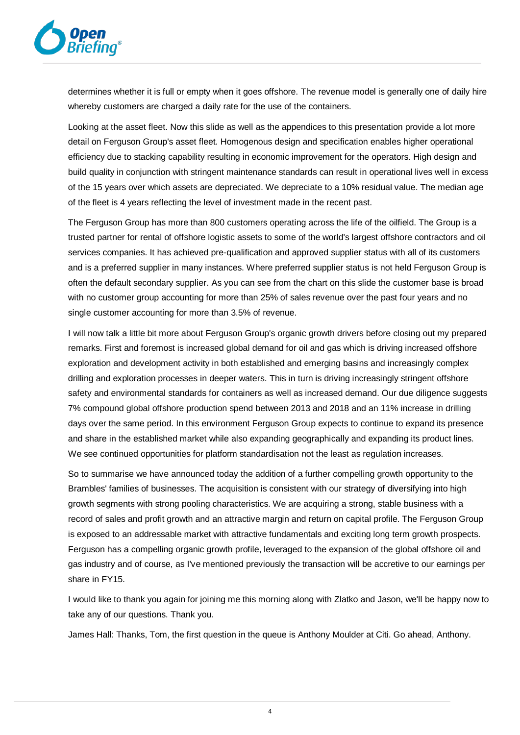

determines whether it is full or empty when it goes offshore. The revenue model is generally one of daily hire whereby customers are charged a daily rate for the use of the containers.

Looking at the asset fleet. Now this slide as well as the appendices to this presentation provide a lot more detail on Ferguson Group's asset fleet. Homogenous design and specification enables higher operational efficiency due to stacking capability resulting in economic improvement for the operators. High design and build quality in conjunction with stringent maintenance standards can result in operational lives well in excess of the 15 years over which assets are depreciated. We depreciate to a 10% residual value. The median age of the fleet is 4 years reflecting the level of investment made in the recent past.

The Ferguson Group has more than 800 customers operating across the life of the oilfield. The Group is a trusted partner for rental of offshore logistic assets to some of the world's largest offshore contractors and oil services companies. It has achieved pre-qualification and approved supplier status with all of its customers and is a preferred supplier in many instances. Where preferred supplier status is not held Ferguson Group is often the default secondary supplier. As you can see from the chart on this slide the customer base is broad with no customer group accounting for more than 25% of sales revenue over the past four years and no single customer accounting for more than 3.5% of revenue.

I will now talk a little bit more about Ferguson Group's organic growth drivers before closing out my prepared remarks. First and foremost is increased global demand for oil and gas which is driving increased offshore exploration and development activity in both established and emerging basins and increasingly complex drilling and exploration processes in deeper waters. This in turn is driving increasingly stringent offshore safety and environmental standards for containers as well as increased demand. Our due diligence suggests 7% compound global offshore production spend between 2013 and 2018 and an 11% increase in drilling days over the same period. In this environment Ferguson Group expects to continue to expand its presence and share in the established market while also expanding geographically and expanding its product lines. We see continued opportunities for platform standardisation not the least as regulation increases.

So to summarise we have announced today the addition of a further compelling growth opportunity to the Brambles' families of businesses. The acquisition is consistent with our strategy of diversifying into high growth segments with strong pooling characteristics. We are acquiring a strong, stable business with a record of sales and profit growth and an attractive margin and return on capital profile. The Ferguson Group is exposed to an addressable market with attractive fundamentals and exciting long term growth prospects. Ferguson has a compelling organic growth profile, leveraged to the expansion of the global offshore oil and gas industry and of course, as I've mentioned previously the transaction will be accretive to our earnings per share in FY15.

I would like to thank you again for joining me this morning along with Zlatko and Jason, we'll be happy now to take any of our questions. Thank you.

James Hall: Thanks, Tom, the first question in the queue is Anthony Moulder at Citi. Go ahead, Anthony.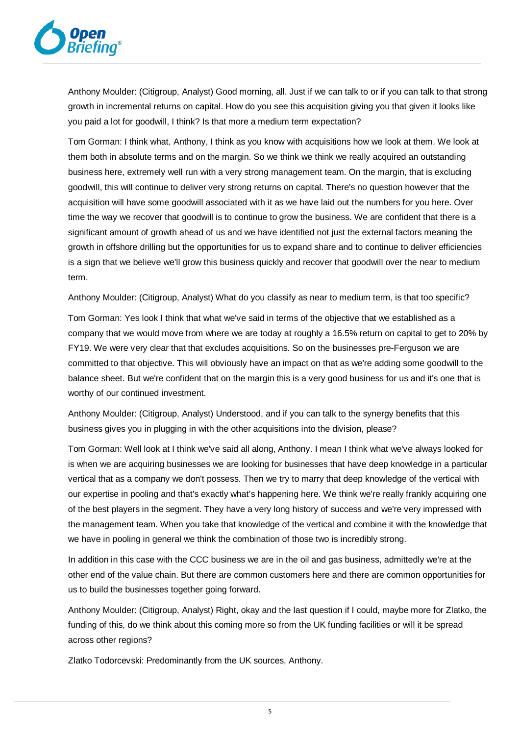

Anthony Moulder: (Citigroup, Analyst) Good morning, all. Just if we can talk to or if you can talk to that strong growth in incremental returns on capital. How do you see this acquisition giving you that given it looks like you paid a lot for goodwill, I think? Is that more a medium term expectation?

Tom Gorman: I think what, Anthony, I think as you know with acquisitions how we look at them. We look at them both in absolute terms and on the margin. So we think we think we really acquired an outstanding business here, extremely well run with a very strong management team. On the margin, that is excluding goodwill, this will continue to deliver very strong returns on capital. There's no question however that the acquisition will have some goodwill associated with it as we have laid out the numbers for you here. Over time the way we recover that goodwill is to continue to grow the business. We are confident that there is a significant amount of growth ahead of us and we have identified not just the external factors meaning the growth in offshore drilling but the opportunities for us to expand share and to continue to deliver efficiencies is a sign that we believe we'll grow this business quickly and recover that goodwill over the near to medium term.

Anthony Moulder: (Citigroup, Analyst) What do you classify as near to medium term, is that too specific?

Tom Gorman: Yes look I think that what we've said in terms of the objective that we established as a company that we would move from where we are today at roughly a 16.5% return on capital to get to 20% by FY19. We were very clear that that excludes acquisitions. So on the businesses pre-Ferguson we are committed to that objective. This will obviously have an impact on that as we're adding some goodwill to the balance sheet. But we're confident that on the margin this is a very good business for us and it's one that is worthy of our continued investment.

Anthony Moulder: (Citigroup, Analyst) Understood, and if you can talk to the synergy benefits that this business gives you in plugging in with the other acquisitions into the division, please?

Tom Gorman: Well look at I think we've said all along, Anthony. I mean I think what we've always looked for is when we are acquiring businesses we are looking for businesses that have deep knowledge in a particular vertical that as a company we don't possess. Then we try to marry that deep knowledge of the vertical with our expertise in pooling and that's exactly what's happening here. We think we're really frankly acquiring one of the best players in the segment. They have a very long history of success and we're very impressed with the management team. When you take that knowledge of the vertical and combine it with the knowledge that we have in pooling in general we think the combination of those two is incredibly strong.

In addition in this case with the CCC business we are in the oil and gas business, admittedly we're at the other end of the value chain. But there are common customers here and there are common opportunities for us to build the businesses together going forward.

Anthony Moulder: (Citigroup, Analyst) Right, okay and the last question if I could, maybe more for Zlatko, the funding of this, do we think about this coming more so from the UK funding facilities or will it be spread across other regions?

Zlatko Todorcevski: Predominantly from the UK sources, Anthony.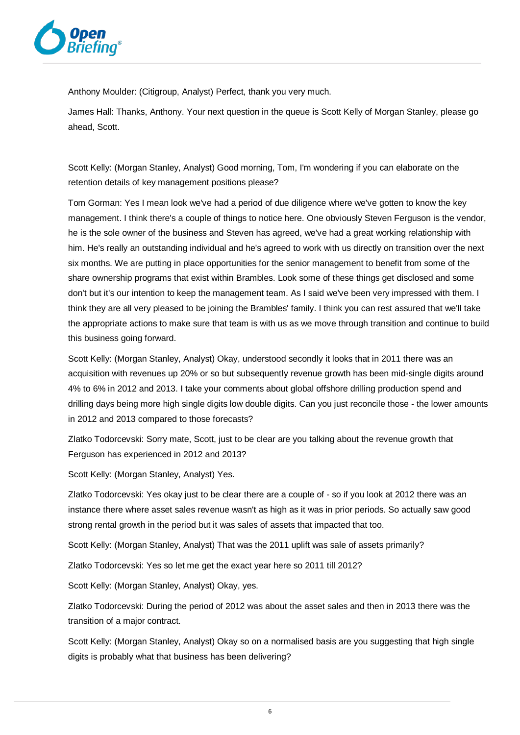

Anthony Moulder: (Citigroup, Analyst) Perfect, thank you very much.

James Hall: Thanks, Anthony. Your next question in the queue is Scott Kelly of Morgan Stanley, please go ahead, Scott.

Scott Kelly: (Morgan Stanley, Analyst) Good morning, Tom, I'm wondering if you can elaborate on the retention details of key management positions please?

Tom Gorman: Yes I mean look we've had a period of due diligence where we've gotten to know the key management. I think there's a couple of things to notice here. One obviously Steven Ferguson is the vendor, he is the sole owner of the business and Steven has agreed, we've had a great working relationship with him. He's really an outstanding individual and he's agreed to work with us directly on transition over the next six months. We are putting in place opportunities for the senior management to benefit from some of the share ownership programs that exist within Brambles. Look some of these things get disclosed and some don't but it's our intention to keep the management team. As I said we've been very impressed with them. I think they are all very pleased to be joining the Brambles' family. I think you can rest assured that we'll take the appropriate actions to make sure that team is with us as we move through transition and continue to build this business going forward.

Scott Kelly: (Morgan Stanley, Analyst) Okay, understood secondly it looks that in 2011 there was an acquisition with revenues up 20% or so but subsequently revenue growth has been mid-single digits around 4% to 6% in 2012 and 2013. I take your comments about global offshore drilling production spend and drilling days being more high single digits low double digits. Can you just reconcile those - the lower amounts in 2012 and 2013 compared to those forecasts?

Zlatko Todorcevski: Sorry mate, Scott, just to be clear are you talking about the revenue growth that Ferguson has experienced in 2012 and 2013?

Scott Kelly: (Morgan Stanley, Analyst) Yes.

Zlatko Todorcevski: Yes okay just to be clear there are a couple of - so if you look at 2012 there was an instance there where asset sales revenue wasn't as high as it was in prior periods. So actually saw good strong rental growth in the period but it was sales of assets that impacted that too.

Scott Kelly: (Morgan Stanley, Analyst) That was the 2011 uplift was sale of assets primarily?

Zlatko Todorcevski: Yes so let me get the exact year here so 2011 till 2012?

Scott Kelly: (Morgan Stanley, Analyst) Okay, yes.

Zlatko Todorcevski: During the period of 2012 was about the asset sales and then in 2013 there was the transition of a major contract.

Scott Kelly: (Morgan Stanley, Analyst) Okay so on a normalised basis are you suggesting that high single digits is probably what that business has been delivering?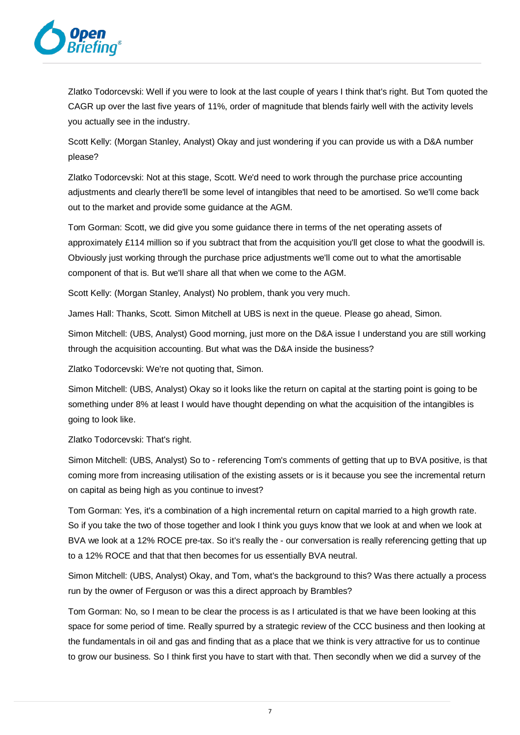

Zlatko Todorcevski: Well if you were to look at the last couple of years I think that's right. But Tom quoted the CAGR up over the last five years of 11%, order of magnitude that blends fairly well with the activity levels you actually see in the industry.

Scott Kelly: (Morgan Stanley, Analyst) Okay and just wondering if you can provide us with a D&A number please?

Zlatko Todorcevski: Not at this stage, Scott. We'd need to work through the purchase price accounting adjustments and clearly there'll be some level of intangibles that need to be amortised. So we'll come back out to the market and provide some guidance at the AGM.

Tom Gorman: Scott, we did give you some guidance there in terms of the net operating assets of approximately £114 million so if you subtract that from the acquisition you'll get close to what the goodwill is. Obviously just working through the purchase price adjustments we'll come out to what the amortisable component of that is. But we'll share all that when we come to the AGM.

Scott Kelly: (Morgan Stanley, Analyst) No problem, thank you very much.

James Hall: Thanks, Scott. Simon Mitchell at UBS is next in the queue. Please go ahead, Simon.

Simon Mitchell: (UBS, Analyst) Good morning, just more on the D&A issue I understand you are still working through the acquisition accounting. But what was the D&A inside the business?

Zlatko Todorcevski: We're not quoting that, Simon.

Simon Mitchell: (UBS, Analyst) Okay so it looks like the return on capital at the starting point is going to be something under 8% at least I would have thought depending on what the acquisition of the intangibles is going to look like.

Zlatko Todorcevski: That's right.

Simon Mitchell: (UBS, Analyst) So to - referencing Tom's comments of getting that up to BVA positive, is that coming more from increasing utilisation of the existing assets or is it because you see the incremental return on capital as being high as you continue to invest?

Tom Gorman: Yes, it's a combination of a high incremental return on capital married to a high growth rate. So if you take the two of those together and look I think you guys know that we look at and when we look at BVA we look at a 12% ROCE pre-tax. So it's really the - our conversation is really referencing getting that up to a 12% ROCE and that that then becomes for us essentially BVA neutral.

Simon Mitchell: (UBS, Analyst) Okay, and Tom, what's the background to this? Was there actually a process run by the owner of Ferguson or was this a direct approach by Brambles?

Tom Gorman: No, so I mean to be clear the process is as I articulated is that we have been looking at this space for some period of time. Really spurred by a strategic review of the CCC business and then looking at the fundamentals in oil and gas and finding that as a place that we think is very attractive for us to continue to grow our business. So I think first you have to start with that. Then secondly when we did a survey of the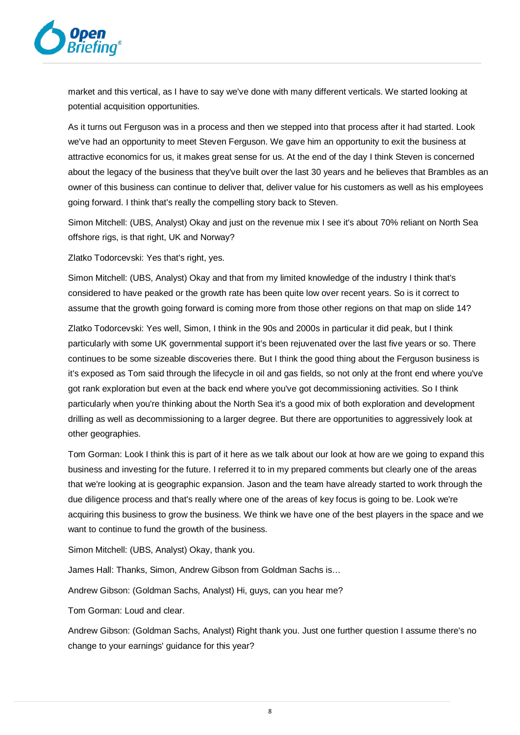

market and this vertical, as I have to say we've done with many different verticals. We started looking at potential acquisition opportunities.

As it turns out Ferguson was in a process and then we stepped into that process after it had started. Look we've had an opportunity to meet Steven Ferguson. We gave him an opportunity to exit the business at attractive economics for us, it makes great sense for us. At the end of the day I think Steven is concerned about the legacy of the business that they've built over the last 30 years and he believes that Brambles as an owner of this business can continue to deliver that, deliver value for his customers as well as his employees going forward. I think that's really the compelling story back to Steven.

Simon Mitchell: (UBS, Analyst) Okay and just on the revenue mix I see it's about 70% reliant on North Sea offshore rigs, is that right, UK and Norway?

Zlatko Todorcevski: Yes that's right, yes.

Simon Mitchell: (UBS, Analyst) Okay and that from my limited knowledge of the industry I think that's considered to have peaked or the growth rate has been quite low over recent years. So is it correct to assume that the growth going forward is coming more from those other regions on that map on slide 14?

Zlatko Todorcevski: Yes well, Simon, I think in the 90s and 2000s in particular it did peak, but I think particularly with some UK governmental support it's been rejuvenated over the last five years or so. There continues to be some sizeable discoveries there. But I think the good thing about the Ferguson business is it's exposed as Tom said through the lifecycle in oil and gas fields, so not only at the front end where you've got rank exploration but even at the back end where you've got decommissioning activities. So I think particularly when you're thinking about the North Sea it's a good mix of both exploration and development drilling as well as decommissioning to a larger degree. But there are opportunities to aggressively look at other geographies.

Tom Gorman: Look I think this is part of it here as we talk about our look at how are we going to expand this business and investing for the future. I referred it to in my prepared comments but clearly one of the areas that we're looking at is geographic expansion. Jason and the team have already started to work through the due diligence process and that's really where one of the areas of key focus is going to be. Look we're acquiring this business to grow the business. We think we have one of the best players in the space and we want to continue to fund the growth of the business.

Simon Mitchell: (UBS, Analyst) Okay, thank you.

James Hall: Thanks, Simon, Andrew Gibson from Goldman Sachs is…

Andrew Gibson: (Goldman Sachs, Analyst) Hi, guys, can you hear me?

Tom Gorman: Loud and clear.

Andrew Gibson: (Goldman Sachs, Analyst) Right thank you. Just one further question I assume there's no change to your earnings' guidance for this year?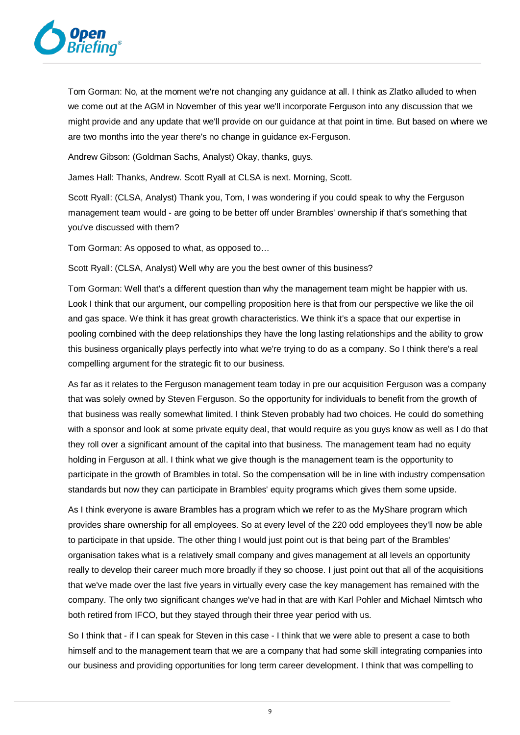

Tom Gorman: No, at the moment we're not changing any guidance at all. I think as Zlatko alluded to when we come out at the AGM in November of this year we'll incorporate Ferguson into any discussion that we might provide and any update that we'll provide on our guidance at that point in time. But based on where we are two months into the year there's no change in guidance ex-Ferguson.

Andrew Gibson: (Goldman Sachs, Analyst) Okay, thanks, guys.

James Hall: Thanks, Andrew. Scott Ryall at CLSA is next. Morning, Scott.

Scott Ryall: (CLSA, Analyst) Thank you, Tom, I was wondering if you could speak to why the Ferguson management team would - are going to be better off under Brambles' ownership if that's something that you've discussed with them?

Tom Gorman: As opposed to what, as opposed to…

Scott Ryall: (CLSA, Analyst) Well why are you the best owner of this business?

Tom Gorman: Well that's a different question than why the management team might be happier with us. Look I think that our argument, our compelling proposition here is that from our perspective we like the oil and gas space. We think it has great growth characteristics. We think it's a space that our expertise in pooling combined with the deep relationships they have the long lasting relationships and the ability to grow this business organically plays perfectly into what we're trying to do as a company. So I think there's a real compelling argument for the strategic fit to our business.

As far as it relates to the Ferguson management team today in pre our acquisition Ferguson was a company that was solely owned by Steven Ferguson. So the opportunity for individuals to benefit from the growth of that business was really somewhat limited. I think Steven probably had two choices. He could do something with a sponsor and look at some private equity deal, that would require as you guys know as well as I do that they roll over a significant amount of the capital into that business. The management team had no equity holding in Ferguson at all. I think what we give though is the management team is the opportunity to participate in the growth of Brambles in total. So the compensation will be in line with industry compensation standards but now they can participate in Brambles' equity programs which gives them some upside.

As I think everyone is aware Brambles has a program which we refer to as the MyShare program which provides share ownership for all employees. So at every level of the 220 odd employees they'll now be able to participate in that upside. The other thing I would just point out is that being part of the Brambles' organisation takes what is a relatively small company and gives management at all levels an opportunity really to develop their career much more broadly if they so choose. I just point out that all of the acquisitions that we've made over the last five years in virtually every case the key management has remained with the company. The only two significant changes we've had in that are with Karl Pohler and Michael Nimtsch who both retired from IFCO, but they stayed through their three year period with us.

So I think that - if I can speak for Steven in this case - I think that we were able to present a case to both himself and to the management team that we are a company that had some skill integrating companies into our business and providing opportunities for long term career development. I think that was compelling to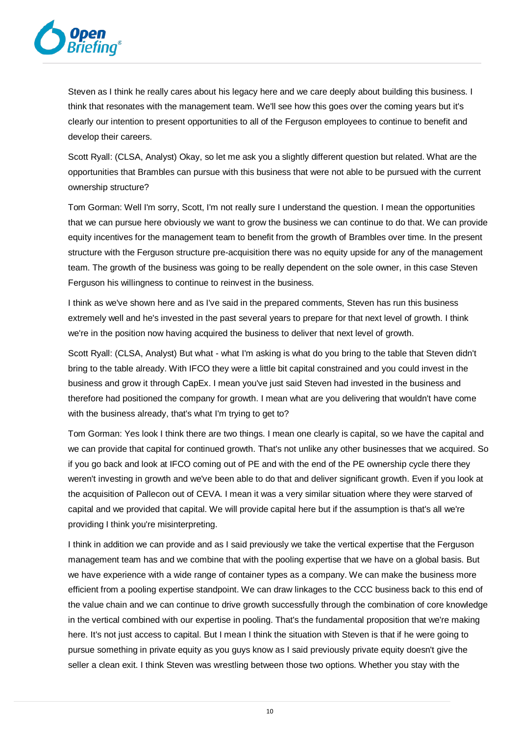

Steven as I think he really cares about his legacy here and we care deeply about building this business. I think that resonates with the management team. We'll see how this goes over the coming years but it's clearly our intention to present opportunities to all of the Ferguson employees to continue to benefit and develop their careers.

Scott Ryall: (CLSA, Analyst) Okay, so let me ask you a slightly different question but related. What are the opportunities that Brambles can pursue with this business that were not able to be pursued with the current ownership structure?

Tom Gorman: Well I'm sorry, Scott, I'm not really sure I understand the question. I mean the opportunities that we can pursue here obviously we want to grow the business we can continue to do that. We can provide equity incentives for the management team to benefit from the growth of Brambles over time. In the present structure with the Ferguson structure pre-acquisition there was no equity upside for any of the management team. The growth of the business was going to be really dependent on the sole owner, in this case Steven Ferguson his willingness to continue to reinvest in the business.

I think as we've shown here and as I've said in the prepared comments, Steven has run this business extremely well and he's invested in the past several years to prepare for that next level of growth. I think we're in the position now having acquired the business to deliver that next level of growth.

Scott Ryall: (CLSA, Analyst) But what - what I'm asking is what do you bring to the table that Steven didn't bring to the table already. With IFCO they were a little bit capital constrained and you could invest in the business and grow it through CapEx. I mean you've just said Steven had invested in the business and therefore had positioned the company for growth. I mean what are you delivering that wouldn't have come with the business already, that's what I'm trying to get to?

Tom Gorman: Yes look I think there are two things. I mean one clearly is capital, so we have the capital and we can provide that capital for continued growth. That's not unlike any other businesses that we acquired. So if you go back and look at IFCO coming out of PE and with the end of the PE ownership cycle there they weren't investing in growth and we've been able to do that and deliver significant growth. Even if you look at the acquisition of Pallecon out of CEVA. I mean it was a very similar situation where they were starved of capital and we provided that capital. We will provide capital here but if the assumption is that's all we're providing I think you're misinterpreting.

I think in addition we can provide and as I said previously we take the vertical expertise that the Ferguson management team has and we combine that with the pooling expertise that we have on a global basis. But we have experience with a wide range of container types as a company. We can make the business more efficient from a pooling expertise standpoint. We can draw linkages to the CCC business back to this end of the value chain and we can continue to drive growth successfully through the combination of core knowledge in the vertical combined with our expertise in pooling. That's the fundamental proposition that we're making here. It's not just access to capital. But I mean I think the situation with Steven is that if he were going to pursue something in private equity as you guys know as I said previously private equity doesn't give the seller a clean exit. I think Steven was wrestling between those two options. Whether you stay with the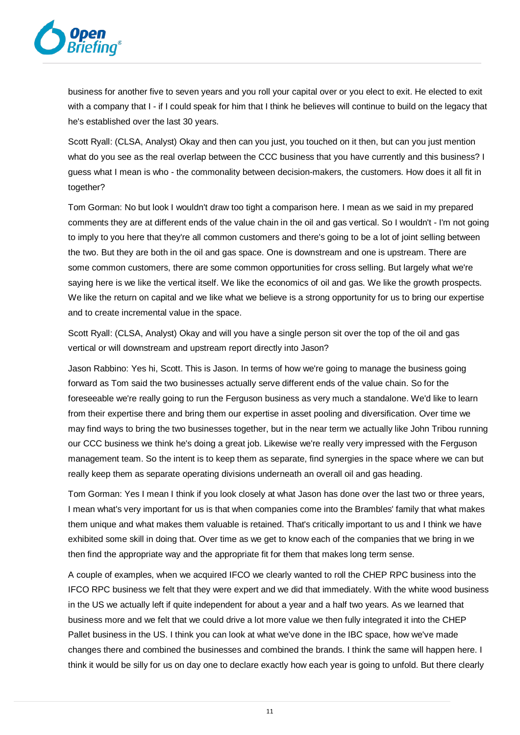

business for another five to seven years and you roll your capital over or you elect to exit. He elected to exit with a company that I - if I could speak for him that I think he believes will continue to build on the legacy that he's established over the last 30 years.

Scott Ryall: (CLSA, Analyst) Okay and then can you just, you touched on it then, but can you just mention what do you see as the real overlap between the CCC business that you have currently and this business? I guess what I mean is who - the commonality between decision-makers, the customers. How does it all fit in together?

Tom Gorman: No but look I wouldn't draw too tight a comparison here. I mean as we said in my prepared comments they are at different ends of the value chain in the oil and gas vertical. So I wouldn't - I'm not going to imply to you here that they're all common customers and there's going to be a lot of joint selling between the two. But they are both in the oil and gas space. One is downstream and one is upstream. There are some common customers, there are some common opportunities for cross selling. But largely what we're saying here is we like the vertical itself. We like the economics of oil and gas. We like the growth prospects. We like the return on capital and we like what we believe is a strong opportunity for us to bring our expertise and to create incremental value in the space.

Scott Ryall: (CLSA, Analyst) Okay and will you have a single person sit over the top of the oil and gas vertical or will downstream and upstream report directly into Jason?

Jason Rabbino: Yes hi, Scott. This is Jason. In terms of how we're going to manage the business going forward as Tom said the two businesses actually serve different ends of the value chain. So for the foreseeable we're really going to run the Ferguson business as very much a standalone. We'd like to learn from their expertise there and bring them our expertise in asset pooling and diversification. Over time we may find ways to bring the two businesses together, but in the near term we actually like John Tribou running our CCC business we think he's doing a great job. Likewise we're really very impressed with the Ferguson management team. So the intent is to keep them as separate, find synergies in the space where we can but really keep them as separate operating divisions underneath an overall oil and gas heading.

Tom Gorman: Yes I mean I think if you look closely at what Jason has done over the last two or three years, I mean what's very important for us is that when companies come into the Brambles' family that what makes them unique and what makes them valuable is retained. That's critically important to us and I think we have exhibited some skill in doing that. Over time as we get to know each of the companies that we bring in we then find the appropriate way and the appropriate fit for them that makes long term sense.

A couple of examples, when we acquired IFCO we clearly wanted to roll the CHEP RPC business into the IFCO RPC business we felt that they were expert and we did that immediately. With the white wood business in the US we actually left if quite independent for about a year and a half two years. As we learned that business more and we felt that we could drive a lot more value we then fully integrated it into the CHEP Pallet business in the US. I think you can look at what we've done in the IBC space, how we've made changes there and combined the businesses and combined the brands. I think the same will happen here. I think it would be silly for us on day one to declare exactly how each year is going to unfold. But there clearly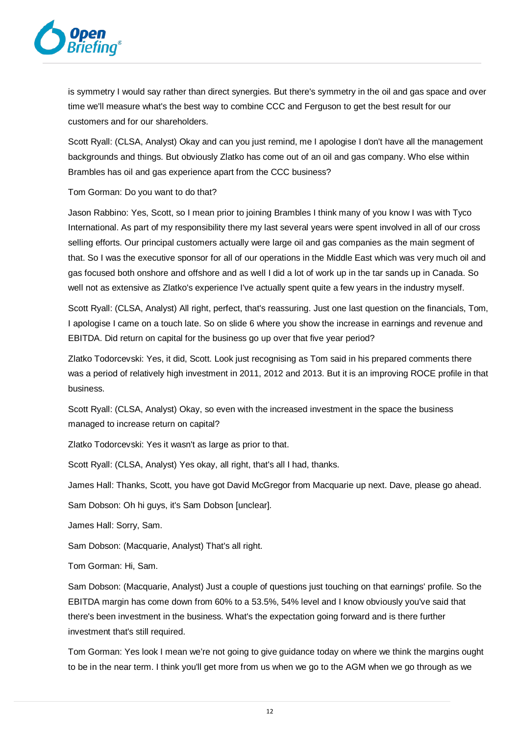

is symmetry I would say rather than direct synergies. But there's symmetry in the oil and gas space and over time we'll measure what's the best way to combine CCC and Ferguson to get the best result for our customers and for our shareholders.

Scott Ryall: (CLSA, Analyst) Okay and can you just remind, me I apologise I don't have all the management backgrounds and things. But obviously Zlatko has come out of an oil and gas company. Who else within Brambles has oil and gas experience apart from the CCC business?

Tom Gorman: Do you want to do that?

Jason Rabbino: Yes, Scott, so I mean prior to joining Brambles I think many of you know I was with Tyco International. As part of my responsibility there my last several years were spent involved in all of our cross selling efforts. Our principal customers actually were large oil and gas companies as the main segment of that. So I was the executive sponsor for all of our operations in the Middle East which was very much oil and gas focused both onshore and offshore and as well I did a lot of work up in the tar sands up in Canada. So well not as extensive as Zlatko's experience I've actually spent quite a few years in the industry myself.

Scott Ryall: (CLSA, Analyst) All right, perfect, that's reassuring. Just one last question on the financials, Tom, I apologise I came on a touch late. So on slide 6 where you show the increase in earnings and revenue and EBITDA. Did return on capital for the business go up over that five year period?

Zlatko Todorcevski: Yes, it did, Scott. Look just recognising as Tom said in his prepared comments there was a period of relatively high investment in 2011, 2012 and 2013. But it is an improving ROCE profile in that business.

Scott Ryall: (CLSA, Analyst) Okay, so even with the increased investment in the space the business managed to increase return on capital?

Zlatko Todorcevski: Yes it wasn't as large as prior to that.

Scott Ryall: (CLSA, Analyst) Yes okay, all right, that's all I had, thanks.

James Hall: Thanks, Scott, you have got David McGregor from Macquarie up next. Dave, please go ahead.

Sam Dobson: Oh hi guys, it's Sam Dobson [unclear].

James Hall: Sorry, Sam.

Sam Dobson: (Macquarie, Analyst) That's all right.

Tom Gorman: Hi, Sam.

Sam Dobson: (Macquarie, Analyst) Just a couple of questions just touching on that earnings' profile. So the EBITDA margin has come down from 60% to a 53.5%, 54% level and I know obviously you've said that there's been investment in the business. What's the expectation going forward and is there further investment that's still required.

Tom Gorman: Yes look I mean we're not going to give guidance today on where we think the margins ought to be in the near term. I think you'll get more from us when we go to the AGM when we go through as we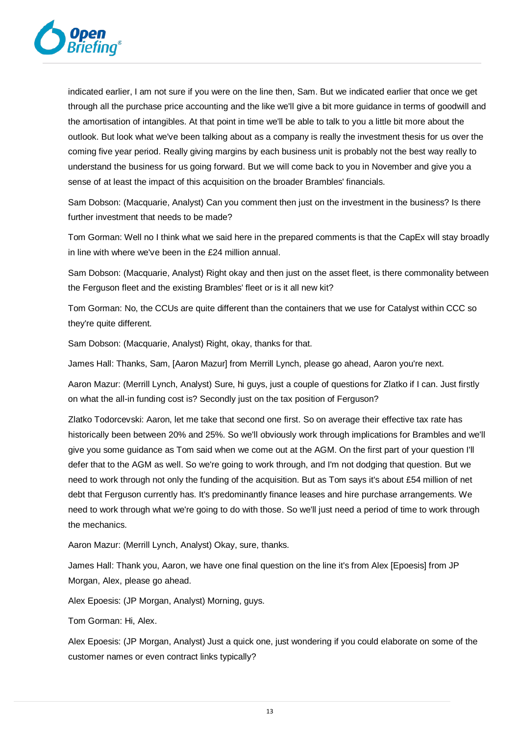

indicated earlier, I am not sure if you were on the line then, Sam. But we indicated earlier that once we get through all the purchase price accounting and the like we'll give a bit more guidance in terms of goodwill and the amortisation of intangibles. At that point in time we'll be able to talk to you a little bit more about the outlook. But look what we've been talking about as a company is really the investment thesis for us over the coming five year period. Really giving margins by each business unit is probably not the best way really to understand the business for us going forward. But we will come back to you in November and give you a sense of at least the impact of this acquisition on the broader Brambles' financials.

Sam Dobson: (Macquarie, Analyst) Can you comment then just on the investment in the business? Is there further investment that needs to be made?

Tom Gorman: Well no I think what we said here in the prepared comments is that the CapEx will stay broadly in line with where we've been in the £24 million annual.

Sam Dobson: (Macquarie, Analyst) Right okay and then just on the asset fleet, is there commonality between the Ferguson fleet and the existing Brambles' fleet or is it all new kit?

Tom Gorman: No, the CCUs are quite different than the containers that we use for Catalyst within CCC so they're quite different.

Sam Dobson: (Macquarie, Analyst) Right, okay, thanks for that.

James Hall: Thanks, Sam, [Aaron Mazur] from Merrill Lynch, please go ahead, Aaron you're next.

Aaron Mazur: (Merrill Lynch, Analyst) Sure, hi guys, just a couple of questions for Zlatko if I can. Just firstly on what the all-in funding cost is? Secondly just on the tax position of Ferguson?

Zlatko Todorcevski: Aaron, let me take that second one first. So on average their effective tax rate has historically been between 20% and 25%. So we'll obviously work through implications for Brambles and we'll give you some guidance as Tom said when we come out at the AGM. On the first part of your question I'll defer that to the AGM as well. So we're going to work through, and I'm not dodging that question. But we need to work through not only the funding of the acquisition. But as Tom says it's about £54 million of net debt that Ferguson currently has. It's predominantly finance leases and hire purchase arrangements. We need to work through what we're going to do with those. So we'll just need a period of time to work through the mechanics.

Aaron Mazur: (Merrill Lynch, Analyst) Okay, sure, thanks.

James Hall: Thank you, Aaron, we have one final question on the line it's from Alex [Epoesis] from JP Morgan, Alex, please go ahead.

Alex Epoesis: (JP Morgan, Analyst) Morning, guys.

Tom Gorman: Hi, Alex.

Alex Epoesis: (JP Morgan, Analyst) Just a quick one, just wondering if you could elaborate on some of the customer names or even contract links typically?